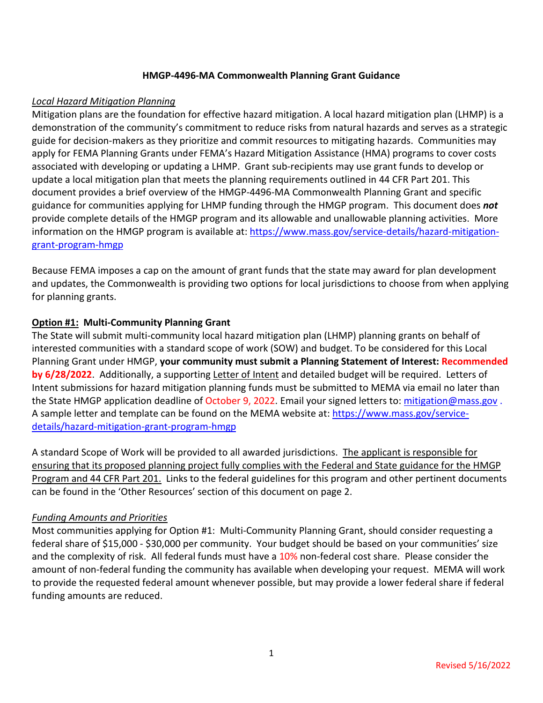#### **HMGP-4496-MA Commonwealth Planning Grant Guidance**

## *Local Hazard Mitigation Planning*

Mitigation plans are the foundation for effective hazard mitigation. A local hazard mitigation plan (LHMP) is a demonstration of the community's commitment to reduce risks from natural hazards and serves as a strategic guide for decision-makers as they prioritize and commit resources to mitigating hazards. Communities may apply for FEMA Planning Grants under FEMA's Hazard Mitigation Assistance (HMA) programs to cover costs associated with developing or updating a LHMP. Grant sub-recipients may use grant funds to develop or update a local mitigation plan that meets the planning requirements outlined in 44 CFR Part 201. This document provides a brief overview of the HMGP-4496-MA Commonwealth Planning Grant and specific guidance for communities applying for LHMP funding through the HMGP program. This document does *not* provide complete details of the HMGP program and its allowable and unallowable planning activities. More information on the HMGP program is available at[: https://www.mass.gov/service-details/hazard-mitigation](https://www.mass.gov/service-details/hazard-mitigation-grant-program-hmgp)[grant-program-hmgp](https://www.mass.gov/service-details/hazard-mitigation-grant-program-hmgp)

Because FEMA imposes a cap on the amount of grant funds that the state may award for plan development and updates, the Commonwealth is providing two options for local jurisdictions to choose from when applying for planning grants.

## **Option #1: Multi-Community Planning Grant**

The State will submit multi-community local hazard mitigation plan (LHMP) planning grants on behalf of interested communities with a standard scope of work (SOW) and budget. To be considered for this Local Planning Grant under HMGP, **your community must submit a Planning Statement of Interest: Recommended by 6/28/2022**. Additionally, a supporting Letter of Intent and detailed budget will be required. Letters of Intent submissions for hazard mitigation planning funds must be submitted to MEMA via email no later than the State HMGP application deadline of October 9, 2022. Email your signed letters to: [mitigation@mass.gov](mailto:mitigation@massmail.gov). A sample letter and template can be found on the MEMA website at[: https://www.mass.gov/service](https://www.mass.gov/service-details/hazard-mitigation-grant-program-hmgp)[details/hazard-mitigation-grant-program-hmgp](https://www.mass.gov/service-details/hazard-mitigation-grant-program-hmgp)

A standard Scope of Work will be provided to all awarded jurisdictions. The applicant is responsible for ensuring that its proposed planning project fully complies with the Federal and State guidance for the HMGP Program and 44 CFR Part 201. Links to the federal guidelines for this program and other pertinent documents can be found in the 'Other Resources' section of this document on page 2.

#### *Funding Amounts and Priorities*

Most communities applying for Option #1: Multi-Community Planning Grant, should consider requesting a federal share of \$15,000 - \$30,000 per community. Your budget should be based on your communities' size and the complexity of risk. All federal funds must have a 10% non-federal cost share. Please consider the amount of non-federal funding the community has available when developing your request. MEMA will work to provide the requested federal amount whenever possible, but may provide a lower federal share if federal funding amounts are reduced.